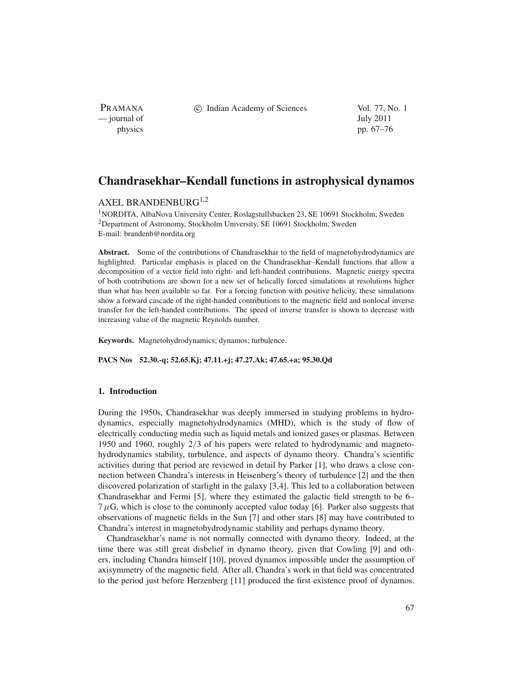PRAMANA — journal of July 2011

c Indian Academy of Sciences Vol. 77, No. 1

physics pp. 67–76

# **Chandrasekhar–Kendall functions in astrophysical dynamos**

## AXEL BRANDENBURG1,2

<sup>1</sup>NORDITA, AlbaNova University Center, Roslagstullsbacken 23, SE 10691 Stockholm, Sweden <sup>2</sup>Department of Astronomy, Stockholm University, SE 10691 Stockholm, Sweden E-mail: brandenb@nordita.org

**Abstract.** Some of the contributions of Chandrasekhar to the field of magnetohydrodynamics are highlighted. Particular emphasis is placed on the Chandrasekhar–Kendall functions that allow a decomposition of a vector field into right- and left-handed contributions. Magnetic energy spectra of both contributions are shown for a new set of helically forced simulations at resolutions higher than what has been available so far. For a forcing function with positive helicity, these simulations show a forward cascade of the right-handed contributions to the magnetic field and nonlocal inverse transfer for the left-handed contributions. The speed of inverse transfer is shown to decrease with increasing value of the magnetic Reynolds number.

**Keywords.** Magnetohydrodynamics; dynamos; turbulence.

**PACS Nos 52.30.-q; 52.65.Kj; 47.11.+j; 47.27.Ak; 47.65.+a; 95.30.Qd**

## **1. Introduction**

During the 1950s, Chandrasekhar was deeply immersed in studying problems in hydrodynamics, especially magnetohydrodynamics (MHD), which is the study of flow of electrically conducting media such as liquid metals and ionized gases or plasmas. Between 1950 and 1960, roughly 2/3 of his papers were related to hydrodynamic and magnetohydrodynamics stability, turbulence, and aspects of dynamo theory. Chandra's scientific activities during that period are reviewed in detail by Parker [1], who draws a close connection between Chandra's interests in Heisenberg's theory of turbulence [2] and the then discovered polarization of starlight in the galaxy [3,4]. This led to a collaboration between Chandrasekhar and Fermi [5], where they estimated the galactic field strength to be 6–  $7 \mu$ G, which is close to the commonly accepted value today [6]. Parker also suggests that observations of magnetic fields in the Sun [7] and other stars [8] may have contributed to Chandra's interest in magnetohydrodynamic stability and perhaps dynamo theory.

Chandrasekhar's name is not normally connected with dynamo theory. Indeed, at the time there was still great disbelief in dynamo theory, given that Cowling [9] and others, including Chandra himself [10], proved dynamos impossible under the assumption of axisymmetry of the magnetic field. After all, Chandra's work in that field was concentrated to the period just before Herzenberg [11] produced the first existence proof of dynamos.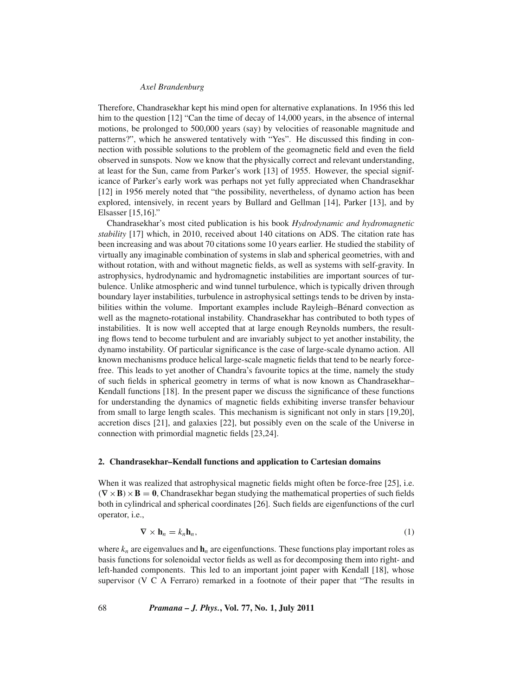Therefore, Chandrasekhar kept his mind open for alternative explanations. In 1956 this led him to the question [12] "Can the time of decay of 14,000 years, in the absence of internal motions, be prolonged to 500,000 years (say) by velocities of reasonable magnitude and patterns?", which he answered tentatively with "Yes". He discussed this finding in connection with possible solutions to the problem of the geomagnetic field and even the field observed in sunspots. Now we know that the physically correct and relevant understanding, at least for the Sun, came from Parker's work [13] of 1955. However, the special significance of Parker's early work was perhaps not yet fully appreciated when Chandrasekhar [12] in 1956 merely noted that "the possibility, nevertheless, of dynamo action has been explored, intensively, in recent years by Bullard and Gellman [14], Parker [13], and by Elsasser [15,16]."

Chandrasekhar's most cited publication is his book *Hydrodynamic and hydromagnetic stability* [17] which, in 2010, received about 140 citations on ADS. The citation rate has been increasing and was about 70 citations some 10 years earlier. He studied the stability of virtually any imaginable combination of systems in slab and spherical geometries, with and without rotation, with and without magnetic fields, as well as systems with self-gravity. In astrophysics, hydrodynamic and hydromagnetic instabilities are important sources of turbulence. Unlike atmospheric and wind tunnel turbulence, which is typically driven through boundary layer instabilities, turbulence in astrophysical settings tends to be driven by instabilities within the volume. Important examples include Rayleigh–Bénard convection as well as the magneto-rotational instability. Chandrasekhar has contributed to both types of instabilities. It is now well accepted that at large enough Reynolds numbers, the resulting flows tend to become turbulent and are invariably subject to yet another instability, the dynamo instability. Of particular significance is the case of large-scale dynamo action. All known mechanisms produce helical large-scale magnetic fields that tend to be nearly forcefree. This leads to yet another of Chandra's favourite topics at the time, namely the study of such fields in spherical geometry in terms of what is now known as Chandrasekhar– Kendall functions [18]. In the present paper we discuss the significance of these functions for understanding the dynamics of magnetic fields exhibiting inverse transfer behaviour from small to large length scales. This mechanism is significant not only in stars [19,20], accretion discs [21], and galaxies [22], but possibly even on the scale of the Universe in connection with primordial magnetic fields [23,24].

## **2. Chandrasekhar–Kendall functions and application to Cartesian domains**

When it was realized that astrophysical magnetic fields might often be force-free [25], i.e.  $(\nabla \times \mathbf{B}) \times \mathbf{B} = 0$ , Chandrasekhar began studying the mathematical properties of such fields both in cylindrical and spherical coordinates [26]. Such fields are eigenfunctions of the curl operator, i.e.,

$$
\nabla \times \mathbf{h}_n = k_n \mathbf{h}_n,\tag{1}
$$

where  $k_n$  are eigenvalues and  $\mathbf{h}_n$  are eigenfunctions. These functions play important roles as basis functions for solenoidal vector fields as well as for decomposing them into right- and left-handed components. This led to an important joint paper with Kendall [18], whose supervisor (V C A Ferraro) remarked in a footnote of their paper that "The results in

68 *Pramana – J. Phys.***, Vol. 77, No. 1, July 2011**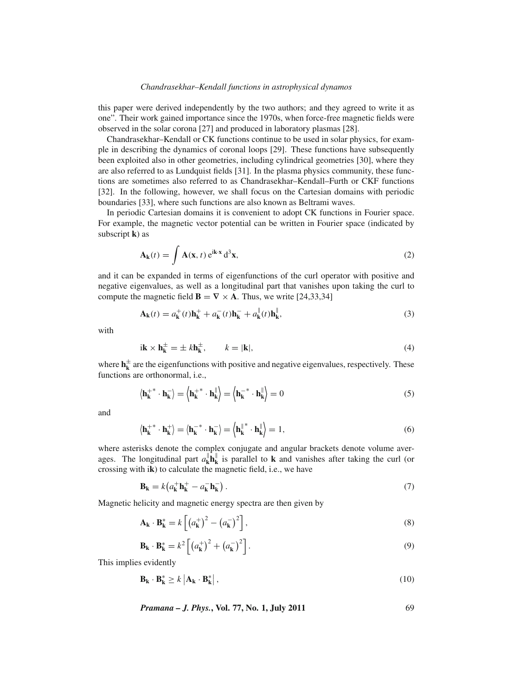## *Chandrasekhar–Kendall functions in astrophysical dynamos*

this paper were derived independently by the two authors; and they agreed to write it as one". Their work gained importance since the 1970s, when force-free magnetic fields were observed in the solar corona [27] and produced in laboratory plasmas [28].

Chandrasekhar–Kendall or CK functions continue to be used in solar physics, for example in describing the dynamics of coronal loops [29]. These functions have subsequently been exploited also in other geometries, including cylindrical geometries [30], where they are also referred to as Lundquist fields [31]. In the plasma physics community, these functions are sometimes also referred to as Chandrasekhar–Kendall–Furth or CKF functions [32]. In the following, however, we shall focus on the Cartesian domains with periodic boundaries [33], where such functions are also known as Beltrami waves.

In periodic Cartesian domains it is convenient to adopt CK functions in Fourier space. For example, the magnetic vector potential can be written in Fourier space (indicated by subscript **k**) as

$$
\mathbf{A}_{\mathbf{k}}(t) = \int \mathbf{A}(\mathbf{x}, t) e^{i\mathbf{k} \cdot \mathbf{x}} d^3 \mathbf{x},
$$
 (2)

and it can be expanded in terms of eigenfunctions of the curl operator with positive and negative eigenvalues, as well as a longitudinal part that vanishes upon taking the curl to compute the magnetic field  $\mathbf{B} = \nabla \times \mathbf{A}$ . Thus, we write [24,33,34]

$$
\mathbf{A}_{\mathbf{k}}(t) = a_{\mathbf{k}}^{+}(t)\mathbf{h}_{\mathbf{k}}^{+} + a_{\mathbf{k}}^{-}(t)\mathbf{h}_{\mathbf{k}}^{-} + a_{\mathbf{k}}^{\parallel}(t)\mathbf{h}_{\mathbf{k}}^{\parallel},
$$
\n(3)

with

$$
ik \times \mathbf{h}_{k}^{\pm} = \pm k \mathbf{h}_{k}^{\pm}, \qquad k = |\mathbf{k}|,\tag{4}
$$

where  $\mathbf{h}_{\mathbf{k}}^{\pm}$  are the eigenfunctions with positive and negative eigenvalues, respectively. These functions are orthonormal, i.e.,

$$
\langle \mathbf{h}_{\mathbf{k}}^{+*} \cdot \mathbf{h}_{\mathbf{k}}^{-} \rangle = \langle \mathbf{h}_{\mathbf{k}}^{+*} \cdot \mathbf{h}_{\mathbf{k}}^{\parallel} \rangle = \langle \mathbf{h}_{\mathbf{k}}^{-*} \cdot \mathbf{h}_{\mathbf{k}}^{\parallel} \rangle = 0
$$
 (5)

and

$$
\langle \mathbf{h}_{\mathbf{k}}^{+*} \cdot \mathbf{h}_{\mathbf{k}}^{+} \rangle = \langle \mathbf{h}_{\mathbf{k}}^{-*} \cdot \mathbf{h}_{\mathbf{k}}^{-} \rangle = \langle \mathbf{h}_{\mathbf{k}}^{\parallel *} \cdot \mathbf{h}_{\mathbf{k}}^{\parallel} \rangle = 1, \tag{6}
$$

where asterisks denote the complex conjugate and angular brackets denote volume averages. The longitudinal part  $a_k^{\parallel}$ **h**<sub>k</sub><sup> $\parallel$ </sup> is parallel to **k** and vanishes after taking the curl (or crossing with i**k**) to calculate the magnetic field, i.e., we have

$$
\mathbf{B}_{\mathbf{k}} = k \left( a_{\mathbf{k}}^{+} \mathbf{h}_{\mathbf{k}}^{+} - a_{\mathbf{k}}^{-} \mathbf{h}_{\mathbf{k}}^{-} \right). \tag{7}
$$

Magnetic helicity and magnetic energy spectra are then given by

$$
\mathbf{A}_{\mathbf{k}} \cdot \mathbf{B}_{\mathbf{k}}^* = k \left[ \left( a_{\mathbf{k}}^+ \right)^2 - \left( a_{\mathbf{k}}^- \right)^2 \right],\tag{8}
$$

$$
\mathbf{B}_{\mathbf{k}} \cdot \mathbf{B}_{\mathbf{k}}^* = k^2 \left[ \left( a_{\mathbf{k}}^+ \right)^2 + \left( a_{\mathbf{k}}^- \right)^2 \right]. \tag{9}
$$

This implies evidently

$$
\mathbf{B}_{\mathbf{k}} \cdot \mathbf{B}_{\mathbf{k}}^* \ge k \left| \mathbf{A}_{\mathbf{k}} \cdot \mathbf{B}_{\mathbf{k}}^* \right|,\tag{10}
$$

*Pramana – J. Phys.***, Vol. 77, No. 1, July 2011** 69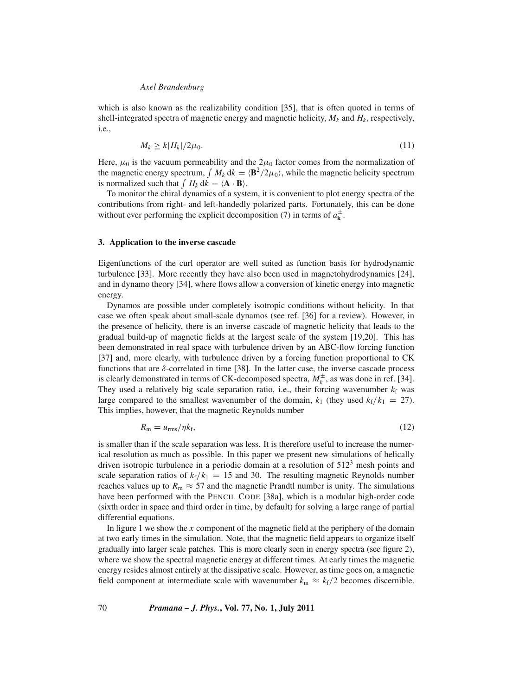which is also known as the realizability condition [35], that is often quoted in terms of shell-integrated spectra of magnetic energy and magnetic helicity,  $M_k$  and  $H_k$ , respectively, i.e.,

$$
M_k \ge k |H_k| / 2\mu_0. \tag{11}
$$

Here,  $\mu_0$  is the vacuum permeability and the  $2\mu_0$  factor comes from the normalization of the magnetic energy spectrum,  $\int M_k \, dk = \langle \mathbf{B}^2/2\mu_0 \rangle$ , while the magnetic helicity spectrum is normalized such that  $\int H_k \, dk = \langle \mathbf{A} \cdot \mathbf{B} \rangle$ .

To monitor the chiral dynamics of a system, it is convenient to plot energy spectra of the contributions from right- and left-handedly polarized parts. Fortunately, this can be done without ever performing the explicit decomposition (7) in terms of  $a_k^{\pm}$ .

## **3. Application to the inverse cascade**

Eigenfunctions of the curl operator are well suited as function basis for hydrodynamic turbulence [33]. More recently they have also been used in magnetohydrodynamics [24], and in dynamo theory [34], where flows allow a conversion of kinetic energy into magnetic energy.

Dynamos are possible under completely isotropic conditions without helicity. In that case we often speak about small-scale dynamos (see ref. [36] for a review). However, in the presence of helicity, there is an inverse cascade of magnetic helicity that leads to the gradual build-up of magnetic fields at the largest scale of the system [19,20]. This has been demonstrated in real space with turbulence driven by an ABC-flow forcing function [37] and, more clearly, with turbulence driven by a forcing function proportional to CK functions that are  $\delta$ -correlated in time [38]. In the latter case, the inverse cascade process is clearly demonstrated in terms of CK-decomposed spectra,  $M_k^{\pm}$ , as was done in ref. [34]. They used a relatively big scale separation ratio, i.e., their forcing wavenumber  $k_f$  was large compared to the smallest wavenumber of the domain,  $k_1$  (they used  $k_f/k_1 = 27$ ). This implies, however, that the magnetic Reynolds number

$$
R_{\rm m} = u_{\rm rms}/\eta k_{\rm f},\tag{12}
$$

is smaller than if the scale separation was less. It is therefore useful to increase the numerical resolution as much as possible. In this paper we present new simulations of helically driven isotropic turbulence in a periodic domain at a resolution of  $512<sup>3</sup>$  mesh points and scale separation ratios of  $k_f/k_1 = 15$  and 30. The resulting magnetic Reynolds number reaches values up to  $R_m \approx 57$  and the magnetic Prandtl number is unity. The simulations have been performed with the PENCIL CODE [38a], which is a modular high-order code (sixth order in space and third order in time, by default) for solving a large range of partial differential equations.

In figure 1 we show the *x* component of the magnetic field at the periphery of the domain at two early times in the simulation. Note, that the magnetic field appears to organize itself gradually into larger scale patches. This is more clearly seen in energy spectra (see figure 2), where we show the spectral magnetic energy at different times. At early times the magnetic energy resides almost entirely at the dissipative scale. However, as time goes on, a magnetic field component at intermediate scale with wavenumber  $k_m \approx k_f/2$  becomes discernible.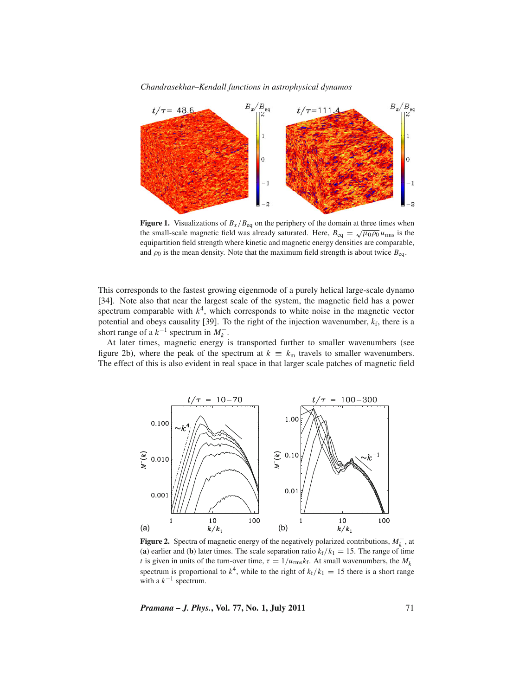*Chandrasekhar–Kendall functions in astrophysical dynamos*



**Figure 1.** Visualizations of  $B_x/B_{eq}$  on the periphery of the domain at three times when the small-scale magnetic field was already saturated. Here,  $B_{eq} = \sqrt{\mu_0 \rho_0} u_{\text{rms}}$  is the equipartition field strength where kinetic and magnetic energy densities are comparable, and  $\rho_0$  is the mean density. Note that the maximum field strength is about twice  $B_{eq}$ .

This corresponds to the fastest growing eigenmode of a purely helical large-scale dynamo [34]. Note also that near the largest scale of the system, the magnetic field has a power spectrum comparable with  $k^4$ , which corresponds to white noise in the magnetic vector potential and obeys causality [39]. To the right of the injection wavenumber,  $k_f$ , there is a short range of a  $k^{-1}$  spectrum in  $M_k^-$ .

At later times, magnetic energy is transported further to smaller wavenumbers (see figure 2b), where the peak of the spectrum at  $k \equiv k_m$  travels to smaller wavenumbers. The effect of this is also evident in real space in that larger scale patches of magnetic field



**Figure 2.** Spectra of magnetic energy of the negatively polarized contributions,  $M_k^-$ , at (a) earlier and (b) later times. The scale separation ratio  $k_f/k_1 = 15$ . The range of time *t* is given in units of the turn-over time,  $\tau = 1/u_{\text{rms}}k_f$ . At small wavenumbers, the  $M_k^$ spectrum is proportional to  $k^4$ , while to the right of  $k_f/k_1 = 15$  there is a short range with a  $k^{-1}$  spectrum.

*Pramana – J. Phys.***, Vol. 77, No. 1, July 2011** 71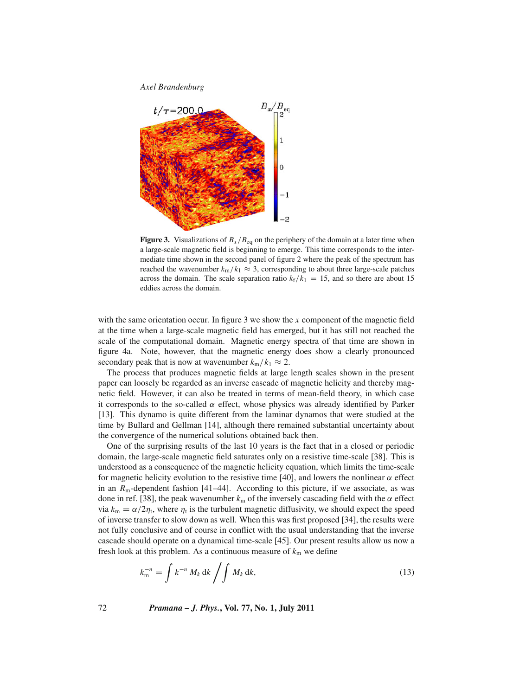

**Figure 3.** Visualizations of  $B_x/B_{eq}$  on the periphery of the domain at a later time when a large-scale magnetic field is beginning to emerge. This time corresponds to the intermediate time shown in the second panel of figure 2 where the peak of the spectrum has reached the wavenumber  $k_m/k_1 \approx 3$ , corresponding to about three large-scale patches across the domain. The scale separation ratio  $k_f/k_1 = 15$ , and so there are about 15 eddies across the domain.

with the same orientation occur. In figure 3 we show the *x* component of the magnetic field at the time when a large-scale magnetic field has emerged, but it has still not reached the scale of the computational domain. Magnetic energy spectra of that time are shown in figure 4a. Note, however, that the magnetic energy does show a clearly pronounced secondary peak that is now at wavenumber  $k_m/k_1 \approx 2$ .

The process that produces magnetic fields at large length scales shown in the present paper can loosely be regarded as an inverse cascade of magnetic helicity and thereby magnetic field. However, it can also be treated in terms of mean-field theory, in which case it corresponds to the so-called  $\alpha$  effect, whose physics was already identified by Parker [13]. This dynamo is quite different from the laminar dynamos that were studied at the time by Bullard and Gellman [14], although there remained substantial uncertainty about the convergence of the numerical solutions obtained back then.

One of the surprising results of the last 10 years is the fact that in a closed or periodic domain, the large-scale magnetic field saturates only on a resistive time-scale [38]. This is understood as a consequence of the magnetic helicity equation, which limits the time-scale for magnetic helicity evolution to the resistive time [40], and lowers the nonlinear  $\alpha$  effect in an *R*m-dependent fashion [41–44]. According to this picture, if we associate, as was done in ref. [38], the peak wavenumber  $k<sub>m</sub>$  of the inversely cascading field with the  $\alpha$  effect via  $k_m = \alpha/2\eta_t$ , where  $\eta_t$  is the turbulent magnetic diffusivity, we should expect the speed of inverse transfer to slow down as well. When this was first proposed [34], the results were not fully conclusive and of course in conflict with the usual understanding that the inverse cascade should operate on a dynamical time-scale [45]. Our present results allow us now a fresh look at this problem. As a continuous measure of  $k<sub>m</sub>$  we define

$$
k_{\rm m}^{-n} = \int k^{-n} M_k \, \mathrm{d}k \int \int M_k \, \mathrm{d}k,\tag{13}
$$

72 *Pramana – J. Phys.***, Vol. 77, No. 1, July 2011**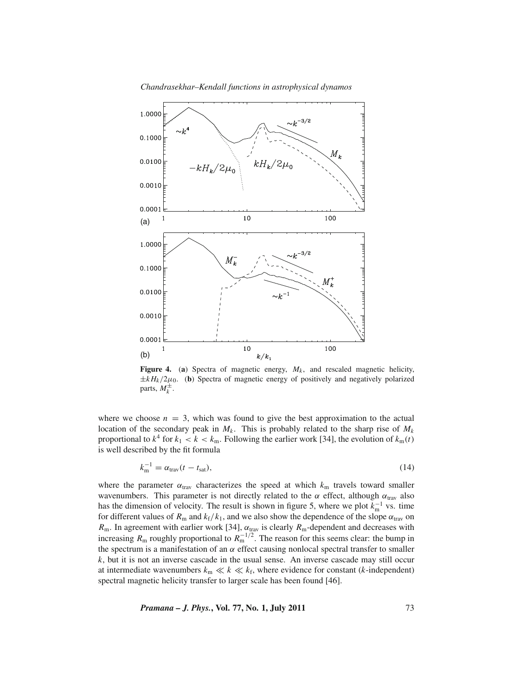

*Chandrasekhar–Kendall functions in astrophysical dynamos*

**Figure 4.** (a) Spectra of magnetic energy,  $M_k$ , and rescaled magnetic helicity,  $\pm k H_k/2\mu_0$ . (**b**) Spectra of magnetic energy of positively and negatively polarized parts,  $M_k^{\pm}$ .

where we choose  $n = 3$ , which was found to give the best approximation to the actual location of the secondary peak in  $M_k$ . This is probably related to the sharp rise of  $M_k$ proportional to  $k^4$  for  $k_1 < k < k_m$ . Following the earlier work [34], the evolution of  $k_m(t)$ is well described by the fit formula

$$
k_{\rm m}^{-1} = \alpha_{\rm trav}(t - t_{\rm sat}),\tag{14}
$$

where the parameter  $\alpha_{\text{trav}}$  characterizes the speed at which  $k_{\text{m}}$  travels toward smaller wavenumbers. This parameter is not directly related to the  $\alpha$  effect, although  $\alpha_{\text{trav}}$  also has the dimension of velocity. The result is shown in figure 5, where we plot  $k_{\rm m}^{-1}$  vs. time for different values of  $R_m$  and  $k_f/k_1$ , and we also show the dependence of the slope  $\alpha_{\text{trav}}$  on  $R_{\rm m}$ . In agreement with earlier work [34],  $\alpha_{\rm trav}$  is clearly  $R_{\rm m}$ -dependent and decreases with increasing  $R_m$  roughly proportional to  $R_m^{-1/2}$ . The reason for this seems clear: the bump in the spectrum is a manifestation of an  $\alpha$  effect causing nonlocal spectral transfer to smaller *k*, but it is not an inverse cascade in the usual sense. An inverse cascade may still occur at intermediate wavenumbers  $k_m \ll k \ll k_f$ , where evidence for constant (*k*-independent) spectral magnetic helicity transfer to larger scale has been found [46].

*Pramana – J. Phys.***, Vol. 77, No. 1, July 2011** 73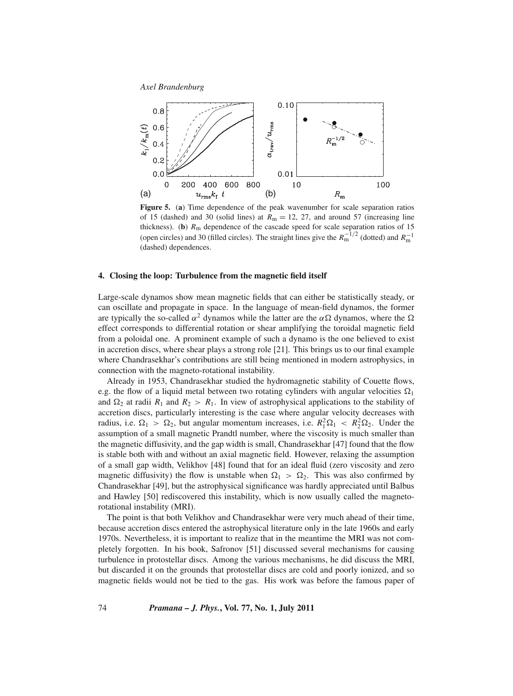

**Figure 5.** (**a**) Time dependence of the peak wavenumber for scale separation ratios of 15 (dashed) and 30 (solid lines) at  $R_m = 12, 27,$  and around 57 (increasing line thickness). (**b**) *R*m dependence of the cascade speed for scale separation ratios of 15 (open circles) and 30 (filled circles). The straight lines give the  $R_{\rm m}^{-1/2}$  (dotted) and  $R_{\rm m}^{-1}$ (dashed) dependences.

## **4. Closing the loop: Turbulence from the magnetic field itself**

Large-scale dynamos show mean magnetic fields that can either be statistically steady, or can oscillate and propagate in space. In the language of mean-field dynamos, the former are typically the so-called  $\alpha^2$  dynamos while the latter are the  $\alpha\Omega$  dynamos, where the  $\Omega$ effect corresponds to differential rotation or shear amplifying the toroidal magnetic field from a poloidal one. A prominent example of such a dynamo is the one believed to exist in accretion discs, where shear plays a strong role [21]. This brings us to our final example where Chandrasekhar's contributions are still being mentioned in modern astrophysics, in connection with the magneto-rotational instability.

Already in 1953, Chandrasekhar studied the hydromagnetic stability of Couette flows, e.g. the flow of a liquid metal between two rotating cylinders with angular velocities  $\Omega_1$ and  $\Omega_2$  at radii  $R_1$  and  $R_2 > R_1$ . In view of astrophysical applications to the stability of accretion discs, particularly interesting is the case where angular velocity decreases with radius, i.e.  $\Omega_1 > \Omega_2$ , but angular momentum increases, i.e.  $R_1^2 \Omega_1 < R_2^2 \Omega_2$ . Under the assumption of a small magnetic Prandtl number, where the viscosity is much smaller than the magnetic diffusivity, and the gap width is small, Chandrasekhar [47] found that the flow is stable both with and without an axial magnetic field. However, relaxing the assumption of a small gap width, Velikhov [48] found that for an ideal fluid (zero viscosity and zero magnetic diffusivity) the flow is unstable when  $\Omega_1 > \Omega_2$ . This was also confirmed by Chandrasekhar [49], but the astrophysical significance was hardly appreciated until Balbus and Hawley [50] rediscovered this instability, which is now usually called the magnetorotational instability (MRI).

The point is that both Velikhov and Chandrasekhar were very much ahead of their time, because accretion discs entered the astrophysical literature only in the late 1960s and early 1970s. Nevertheless, it is important to realize that in the meantime the MRI was not completely forgotten. In his book, Safronov [51] discussed several mechanisms for causing turbulence in protostellar discs. Among the various mechanisms, he did discuss the MRI, but discarded it on the grounds that protostellar discs are cold and poorly ionized, and so magnetic fields would not be tied to the gas. His work was before the famous paper of

74 *Pramana – J. Phys.***, Vol. 77, No. 1, July 2011**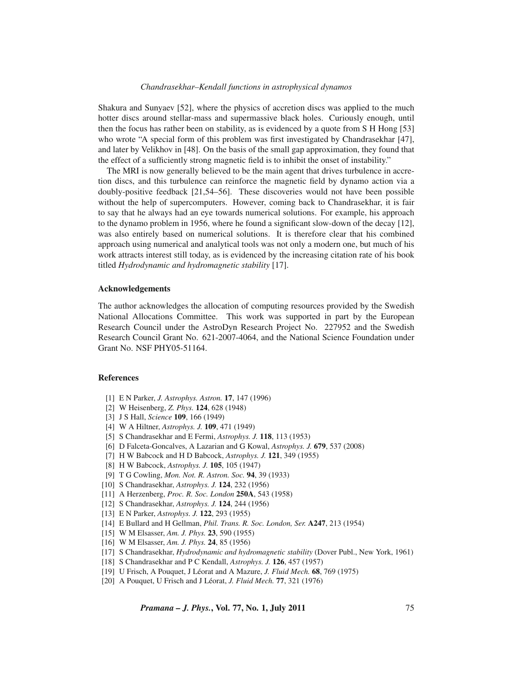Shakura and Sunyaev [52], where the physics of accretion discs was applied to the much hotter discs around stellar-mass and supermassive black holes. Curiously enough, until then the focus has rather been on stability, as is evidenced by a quote from S H Hong [53] who wrote "A special form of this problem was first investigated by Chandrasekhar [47], and later by Velikhov in [48]. On the basis of the small gap approximation, they found that the effect of a sufficiently strong magnetic field is to inhibit the onset of instability."

The MRI is now generally believed to be the main agent that drives turbulence in accretion discs, and this turbulence can reinforce the magnetic field by dynamo action via a doubly-positive feedback [21,54–56]. These discoveries would not have been possible without the help of supercomputers. However, coming back to Chandrasekhar, it is fair to say that he always had an eye towards numerical solutions. For example, his approach to the dynamo problem in 1956, where he found a significant slow-down of the decay [12], was also entirely based on numerical solutions. It is therefore clear that his combined approach using numerical and analytical tools was not only a modern one, but much of his work attracts interest still today, as is evidenced by the increasing citation rate of his book titled *Hydrodynamic and hydromagnetic stability* [17].

## **Acknowledgements**

The author acknowledges the allocation of computing resources provided by the Swedish National Allocations Committee. This work was supported in part by the European Research Council under the AstroDyn Research Project No. 227952 and the Swedish Research Council Grant No. 621-2007-4064, and the National Science Foundation under Grant No. NSF PHY05-51164.

## **References**

- [1] E N Parker, *J. Astrophys. Astron.* **17**, 147 (1996)
- [2] W Heisenberg, *Z. Phys.* **124**, 628 (1948)
- [3] J S Hall, *Science* **109**, 166 (1949)
- [4] W A Hiltner, *Astrophys. J.* **109**, 471 (1949)
- [5] S Chandrasekhar and E Fermi, *Astrophys. J.* **118**, 113 (1953)
- [6] D Falceta-Goncalves, A Lazarian and G Kowal, *Astrophys. J.* **679**, 537 (2008)
- [7] H W Babcock and H D Babcock, *Astrophys. J.* **121**, 349 (1955)
- [8] H W Babcock, *Astrophys. J.* **105**, 105 (1947)
- [9] T G Cowling, *Mon. Not. R. Astron. Soc.* **94**, 39 (1933)
- [10] S Chandrasekhar, *Astrophys. J.* **124**, 232 (1956)
- [11] A Herzenberg, *Proc. R. Soc. London* **250A**, 543 (1958)
- [12] S Chandrasekhar, *Astrophys. J.* **124**, 244 (1956)
- [13] E N Parker, *Astrophys. J.* **122**, 293 (1955)
- [14] E Bullard and H Gellman, *Phil. Trans. R. Soc. London, Ser.* **A247**, 213 (1954)
- [15] W M Elsasser, *Am. J. Phys.* **23**, 590 (1955)
- [16] W M Elsasser, *Am. J. Phys.* **24**, 85 (1956)
- [17] S Chandrasekhar, *Hydrodynamic and hydromagnetic stability* (Dover Publ., New York, 1961)
- [18] S Chandrasekhar and P C Kendall, *Astrophys. J.* **126**, 457 (1957)
- [19] U Frisch, A Pouquet, J Léorat and A Mazure, *J. Fluid Mech.* **68**, 769 (1975)
- [20] A Pouquet, U Frisch and J Léorat, *J. Fluid Mech.* **77**, 321 (1976)

*Pramana – J. Phys.***, Vol. 77, No. 1, July 2011** 75